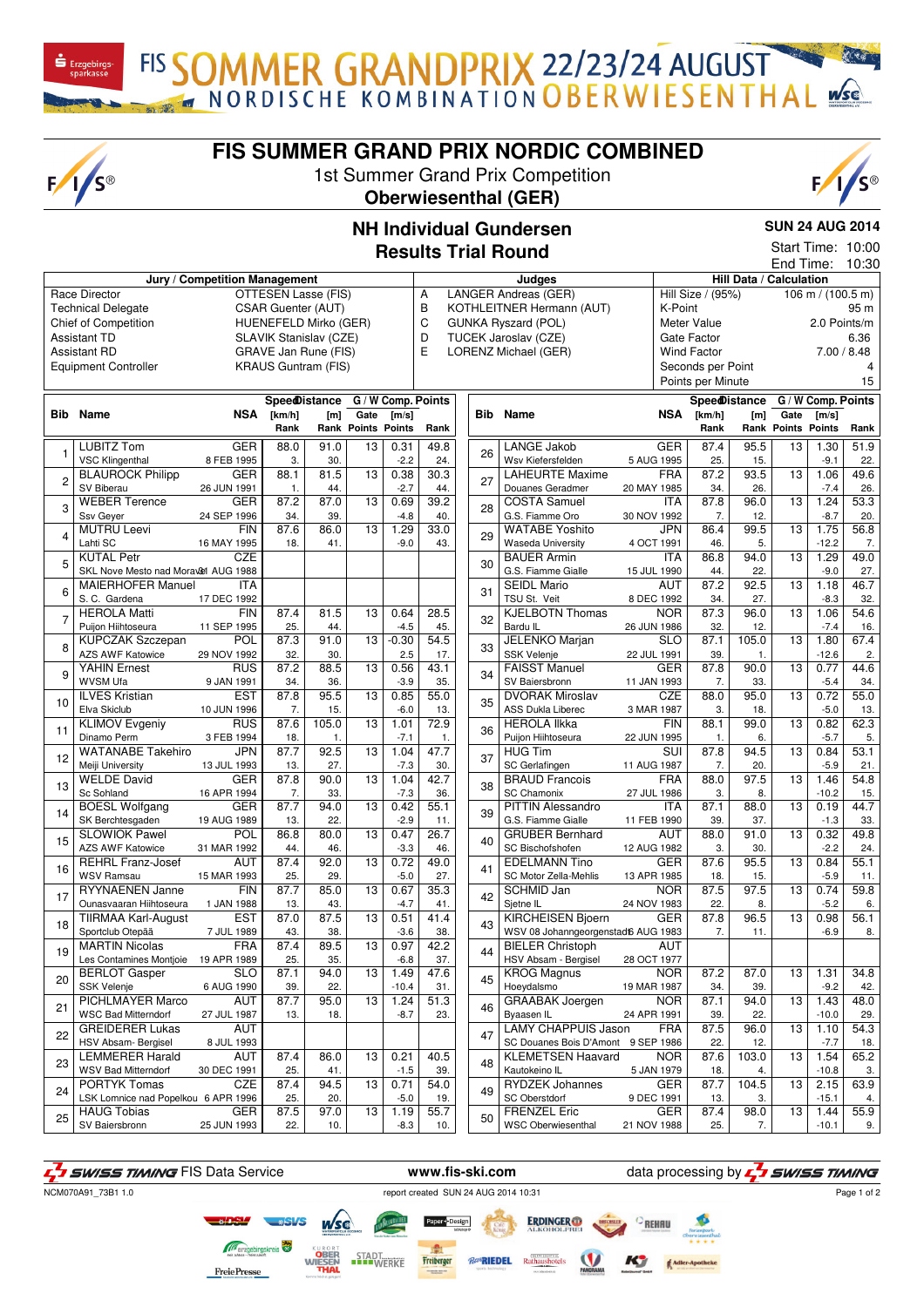FIS SOMMER GRANDPRIX 22/23/24 AUGUST

## **FIS SUMMER GRAND PRIX NORDIC COMBINED**

1st Summer Grand Prix Competition



**SUN 24 AUG 2014** Start Time: 10:00

## **NH Individual Gundersen Results Trial Round**

| 10:30<br>End Time:                                        |                                     |             |                      |                                |                           |                           |                            |        |                   |                                     |                         |                         |                |                           |                                 |      |
|-----------------------------------------------------------|-------------------------------------|-------------|----------------------|--------------------------------|---------------------------|---------------------------|----------------------------|--------|-------------------|-------------------------------------|-------------------------|-------------------------|----------------|---------------------------|---------------------------------|------|
| Jury / Competition Management                             |                                     |             |                      |                                |                           |                           |                            | Judges |                   |                                     |                         | Hill Data / Calculation |                |                           |                                 |      |
| Race Director<br>OTTESEN Lasse (FIS)                      |                                     |             |                      |                                |                           | LANGER Andreas (GER)<br>Α |                            |        |                   |                                     | Hill Size / (95%)       |                         |                |                           | 106 m / $(100.\overline{5})$ m) |      |
| <b>Technical Delegate</b><br>CSAR Guenter (AUT)           |                                     |             |                      | B<br>KOTHLEITNER Hermann (AUT) |                           |                           |                            |        | K-Point           |                                     |                         | 95 m                    |                |                           |                                 |      |
| <b>Chief of Competition</b><br>HUENEFELD Mirko (GER)      |                                     |             |                      | $\mathsf C$                    |                           |                           | <b>GUNKA Ryszard (POL)</b> |        | Meter Value       |                                     |                         | 2.0 Points/m            |                |                           |                                 |      |
| <b>Assistant TD</b><br>SLAVIK Stanislav (CZE)             |                                     |             |                      | D<br>TUCEK Jaroslav (CZE)      |                           |                           |                            |        | Gate Factor       |                                     | 6.36                    |                         |                |                           |                                 |      |
| GRAVE Jan Rune (FIS)<br><b>Assistant RD</b>               |                                     |             |                      |                                | E<br>LORENZ Michael (GER) |                           |                            |        |                   | <b>Wind Factor</b>                  |                         | 7.00 / 8.48             |                |                           |                                 |      |
| <b>KRAUS Guntram (FIS)</b><br><b>Equipment Controller</b> |                                     |             |                      |                                |                           |                           |                            |        | Seconds per Point |                                     |                         |                         | $\overline{4}$ |                           |                                 |      |
|                                                           |                                     |             |                      |                                |                           |                           |                            |        |                   |                                     | Points per Minute       |                         |                |                           | 15                              |      |
|                                                           |                                     |             |                      |                                |                           |                           |                            |        |                   |                                     |                         |                         |                |                           |                                 |      |
|                                                           |                                     |             | <b>SpeedDistance</b> |                                |                           |                           | G / W Comp. Points         |        |                   |                                     |                         | <b>Spee@istance</b>     |                | G / W Comp. Points        |                                 |      |
|                                                           | <b>Bib</b> Name                     | NSA         | [km/h]               | [m]                            | Gate                      | [m/s]                     |                            |        |                   | <b>Bib</b> Name                     | NSA                     | [km/h]                  | [m]            | Gate                      | $\mathsf{[m/s]}$                |      |
|                                                           |                                     |             | Rank                 |                                | <b>Rank Points Points</b> |                           | Rank                       |        |                   |                                     |                         | Rank                    |                | <b>Rank Points Points</b> |                                 | Rank |
| $\mathbf{1}$                                              | <b>LUBITZ Tom</b>                   | <b>GER</b>  | 88.0                 | 91.0                           | 13                        | 0.31                      | 49.8                       |        | 26                | <b>LANGE Jakob</b>                  | <b>GER</b>              | 87.4                    | 95.5           | 13                        | 1.30                            | 51.9 |
|                                                           | <b>VSC Klingenthal</b>              | 8 FEB 1995  | 3.                   | 30.                            |                           | $-2.2$                    | 24.                        |        |                   | Wsv Kiefersfelden                   | 5 AUG 1995              | 25.                     | 15.            |                           | $-9.1$                          | 22.  |
|                                                           | <b>BLAUROCK Philipp</b>             | <b>GER</b>  | 88.1                 | 81.5                           | 13                        | 0.38                      | 30.3                       |        | 27                | <b>LAHEURTE Maxime</b>              | <b>FRA</b>              | 87.2                    | 93.5           | 13                        | 1.06                            | 49.6 |
| $\overline{c}$                                            | SV Biberau                          | 26 JUN 1991 | 1.                   | 44.                            |                           | $-2.7$                    | 44.                        |        |                   | Douanes Geradmer                    | 20 MAY 1985             | 34.                     | 26.            |                           | $-7.4$                          | 26.  |
|                                                           | <b>WEBER Terence</b>                | <b>GER</b>  | 87.2                 | 87.0                           | 13                        | 0.69                      | 39.2                       |        |                   | <b>COSTA Samuel</b>                 | <b>ITA</b>              | 87.8                    | 96.0           | 13                        | 1.24                            | 53.3 |
| 3                                                         | Ssv Geyer                           | 24 SEP 1996 | 34.                  | 39.                            |                           | $-4.8$                    | 40.                        |        | 28                | G.S. Fiamme Oro                     | 30 NOV 1992             | 7.                      | 12.            |                           | $-8.7$                          | 20.  |
|                                                           | <b>MUTRU Leevi</b>                  | <b>FIN</b>  | 87.6                 | 86.0                           | 13                        | 1.29                      | 33.0                       |        |                   | <b>WATABE Yoshito</b>               | <b>JPN</b>              | 86.4                    | 99.5           | 13                        | 1.75                            | 56.8 |
| $\overline{4}$                                            | Lahti SC                            | 16 MAY 1995 | 18.                  | 41.                            |                           | $-9.0$                    | 43.                        |        | 29                | <b>Waseda University</b>            | 4 OCT 1991              | 46.                     | 5.             |                           | $-12.2$                         | 7.   |
|                                                           | <b>KUTAL Petr</b>                   | CZE         |                      |                                |                           |                           |                            |        |                   | <b>BAUER Armin</b>                  | <b>ITA</b>              | 86.8                    | 94.0           | 13                        | 1.29                            | 49.0 |
| 5                                                         | SKL Nove Mesto nad Moravel AUG 1988 |             |                      |                                |                           |                           |                            |        | 30                | G.S. Fiamme Gialle                  | 15 JUL 1990             | 44.                     | 22.            |                           | $-9.0$                          | 27.  |
|                                                           | <b>MAIERHOFER Manuel</b>            | <b>ITA</b>  |                      |                                |                           |                           |                            |        |                   | <b>SEIDL Mario</b>                  | <b>AUT</b>              | 87.2                    | 92.5           | 13                        | 1.18                            | 46.7 |
| 6                                                         | S. C. Gardena                       | 17 DEC 1992 |                      |                                |                           |                           |                            |        | 31                | TSU St. Veit                        | 8 DEC 1992              | 34.                     | 27.            |                           | $-8.3$                          | 32.  |
|                                                           | <b>HEROLA Matti</b>                 | FIN         | 87.4                 | 81.5                           | 13                        | 0.64                      | 28.5                       |        |                   | <b>KJELBOTN Thomas</b>              | <b>NOR</b>              | 87.3                    | 96.0           | 13                        | 1.06                            | 54.6 |
| $\overline{7}$                                            | Puijon Hiihtoseura                  | 11 SEP 1995 | 25.                  | 44.                            |                           | $-4.5$                    | 45.                        |        | 32                | Bardu IL                            | 26 JUN 1986             | 32.                     | 12.            |                           | $-7.4$                          | 16.  |
|                                                           | <b>KUPCZAK Szczepan</b>             | POL         | 87.3                 | 91.0                           | 13                        | $-0.30$                   | 54.5                       |        |                   | <b>JELENKO Marjan</b>               | $\overline{SLO}$        | 87.1                    | 105.0          | 13                        | 1.80                            | 67.4 |
| 8                                                         | AZS AWF Katowice                    | 29 NOV 1992 | 32.                  | 30.                            |                           | 2.5                       | 17.                        |        | 33                | <b>SSK Velenje</b>                  | 22 JUL 1991             | 39.                     | 1.             |                           | $-12.6$                         | 2.   |
|                                                           | <b>YAHIN Ernest</b>                 | <b>RUS</b>  | 87.2                 | 88.5                           | 13                        | 0.56                      | 43.1                       |        |                   | <b>FAISST Manuel</b>                | <b>GER</b>              | 87.8                    | 90.0           | 13                        | 0.77                            | 44.6 |
| 9                                                         | WVSM Ufa                            | 9 JAN 1991  | 34.                  | 36.                            |                           | $-3.9$                    | 35.                        |        | 34                | SV Baiersbronn                      | 11 JAN 1993             | 7.                      | 33.            |                           | $-5.4$                          | 34.  |
|                                                           | <b>ILVES Kristian</b>               | <b>EST</b>  | 87.8                 | 95.5                           | 13                        | 0.85                      | 55.0                       |        |                   | <b>DVORAK Miroslav</b>              | <b>CZE</b>              | 88.0                    | 95.0           | 13                        | 0.72                            | 55.0 |
| 10                                                        | Elva Skiclub                        | 10 JUN 1996 | 7.                   | 15.                            |                           | $-6.0$                    | 13.                        |        | 35                | <b>ASS Dukla Liberec</b>            | 3 MAR 1987              | 3.                      | 18.            |                           | $-5.0$                          | 13.  |
|                                                           | <b>KLIMOV Evgeniy</b>               | <b>RUS</b>  | 87.6                 | 105.0                          | 13                        | 1.01                      | 72.9                       |        |                   | <b>HEROLA IIkka</b>                 | FIN                     | 88.1                    | 99.0           | 13                        | 0.82                            | 62.3 |
| 11                                                        | Dinamo Perm                         | 3 FEB 1994  | 18.                  | 1.                             |                           | $-7.1$                    | -1.                        |        | 36                | Puijon Hiihtoseura                  | 22 JUN 1995             | 1.                      | 6.             |                           | $-5.7$                          | 5.   |
|                                                           | <b>WATANABE Takehiro</b>            | <b>JPN</b>  | 87.7                 | 92.5                           | 13                        | 1.04                      | 47.7                       |        |                   | <b>HUG Tim</b>                      | $\overline{\text{SUI}}$ | 87.8                    | 94.5           | 13                        | 0.84                            | 53.1 |
| 12                                                        | Meiji University                    | 13 JUL 1993 | 13.                  | 27.                            |                           | $-7.3$                    | 30.                        |        | 37                | SC Gerlafingen                      | 11 AUG 1987             | 7.                      | 20.            |                           | $-5.9$                          | 21.  |
|                                                           | <b>WELDE David</b>                  | <b>GER</b>  | 87.8                 | 90.0                           | 13                        | 1.04                      | 42.7                       |        |                   | <b>BRAUD Francois</b>               | <b>FRA</b>              | 88.0                    | 97.5           | 13                        | 1.46                            | 54.8 |
| 13                                                        | Sc Sohland                          | 16 APR 1994 | 7.                   | 33.                            |                           | $-7.3$                    | 36.                        |        | 38                | <b>SC Chamonix</b>                  | 27 JUL 1986             | 3.                      | 8.             |                           | $-10.2$                         | 15.  |
|                                                           | <b>BOESL Wolfgang</b>               | <b>GER</b>  | 87.7                 | 94.0                           | 13                        | 0.42                      | 55.1                       |        |                   | <b>PITTIN Alessandro</b>            | <b>ITA</b>              | 87.1                    | 88.0           | 13                        | 0.19                            | 44.7 |
| 14                                                        | SK Berchtesgaden                    | 19 AUG 1989 | 13.                  | 22.                            |                           | $-2.9$                    | 11.                        |        | 39                | G.S. Fiamme Gialle                  | 11 FEB 1990             | 39.                     | 37.            |                           | $-1.3$                          | 33.  |
|                                                           | <b>SLOWIOK Pawel</b>                | POL         | 86.8                 | 80.0                           | 13                        | 0.47                      | 26.7                       |        |                   | <b>GRUBER Bernhard</b>              | <b>AUT</b>              | 88.0                    | 91.0           | 13                        | 0.32                            | 49.8 |
| 15                                                        | <b>AZS AWF Katowice</b>             | 31 MAR 1992 | 44.                  | 46.                            |                           | $-3.3$                    | 46.                        |        | 40                | SC Bischofshofen                    | 12 AUG 1982             | 3.                      | 30.            |                           | $-2.2$                          | 24.  |
|                                                           | <b>REHRL Franz-Josef</b>            | <b>AUT</b>  | 87.4                 | 92.0                           | 13                        | 0.72                      | 49.0                       |        |                   | <b>EDELMANN Tino</b>                | <b>GER</b>              | 87.6                    | 95.5           | 13                        | 0.84                            | 55.1 |
| 16                                                        | <b>WSV Ramsau</b>                   | 15 MAR 1993 | 25.                  | 29.                            |                           | $-5.0$                    | 27.                        |        | 41                | SC Motor Zella-Mehlis               | 13 APR 1985             | 18.                     | 15.            |                           | $-5.9$                          | 11.  |
|                                                           | RYYNAENEN Janne                     | <b>FIN</b>  | 87.7                 | 85.0                           | 13                        | 0.67                      | 35.3                       |        |                   | SCHMID Jan                          | <b>NOR</b>              | 87.5                    | 97.5           | 13                        | 0.74                            | 59.8 |
| 17                                                        | Ounasvaaran Hiihtoseura             | 1 JAN 1988  | 13.                  | 43.                            |                           | $-4.7$                    | 41.                        |        | 42                | Sjetne IL                           | 24 NOV 1983             | 22.                     | 8.             |                           | $-5.2$                          | 6.   |
|                                                           | <b>TIIRMAA Karl-August</b>          | EST         | 87.0                 | 87.5                           | 13                        | 0.51                      | $41.\overline{4}$          |        |                   | <b>KIRCHEISEN Bjoern</b>            | <b>GER</b>              | 87.8                    | 96.5           | 13                        | 0.98                            | 56.1 |
| 18                                                        | Sportclub Otepää                    | 7 JUL 1989  | 43.                  | 38.                            |                           | $-3.6$                    | 38.                        |        | 43                | WSV 08 Johanngeorgenstadt6 AUG 1983 |                         | 7.                      | 11.            |                           | $-6.9$                          | 8.   |
|                                                           | <b>MARTIN Nicolas</b>               | <b>FRA</b>  | 87.4                 | 89.5                           | 13                        | 0.97                      | 42.2                       |        | 44                | <b>BIELER Christoph</b>             | <b>AUT</b>              |                         |                |                           |                                 |      |
| 19                                                        | Les Contamines Montjoie             | 19 APR 1989 | 25.                  | 35.                            |                           | $-6.8$                    | 37.                        |        |                   | HSV Absam - Bergisel                | 28 OCT 1977             |                         |                |                           |                                 |      |
|                                                           | <b>BERLOT Gasper</b>                | <b>SLO</b>  | 87.1                 | 94.0                           | 13                        | 1.49                      | 47.6                       |        |                   | <b>KROG Magnus</b>                  | NOR.                    | 87.2                    | 87.0           | 13                        | 1.31                            | 34.8 |
| 20                                                        | <b>SSK Velenje</b>                  | 6 AUG 1990  | 39.                  | 22.                            |                           | $-10.4$                   | 31.                        |        | 45                | Hoeydalsmo                          | 19 MAR 1987             | 34.                     | 39.            |                           | $-9.2$                          | 42.  |
|                                                           | PICHLMAYER Marco                    | AUT         | 87.7                 | 95.0                           | 13                        | 1.24                      | 51.3                       |        |                   | <b>GRAABAK</b> Joergen              | <b>NOR</b>              | 87.1                    | 94.0           | 13                        | 1.43                            | 48.0 |
| 21                                                        | <b>WSC Bad Mitterndorf</b>          | 27 JUL 1987 | 13.                  | 18.                            |                           | $-8.7$                    | 23.                        |        | 46                | Byaasen IL                          | 24 APR 1991             | 39.                     | 22.            |                           | $-10.0$                         | 29.  |
| 22                                                        | <b>GREIDERER Lukas</b>              | AUT         |                      |                                |                           |                           |                            |        |                   | <b>LAMY CHAPPUIS Jason</b>          | <b>FRA</b>              | 87.5                    | 96.0           | 13                        | 1.10                            | 54.3 |
|                                                           | HSV Absam- Bergisel                 | 8 JUL 1993  |                      |                                |                           |                           |                            | 47     |                   | SC Douanes Bois D'Amont 9 SEP 1986  |                         | 22.                     | 12.            |                           | $-7.7$                          | 18.  |
|                                                           | <b>LEMMERER Harald</b>              | <b>AUT</b>  | 87.4                 | 86.0                           | 13                        | 0.21                      | 40.5                       |        |                   | <b>KLEMETSEN Haavard</b>            | <b>NOR</b>              | 87.6                    | 103.0          | 13                        | 1.54                            | 65.2 |
| 23                                                        | <b>WSV Bad Mitterndorf</b>          | 30 DEC 1991 | 25.                  | 41.                            |                           | $-1.5$                    | 39.                        |        | 48                | Kautokeino IL                       | 5 JAN 1979              | 18.                     | 4.             |                           | $-10.8$                         | 3.   |
|                                                           | PORTYK Tomas                        | CZE         | 87.4                 | 94.5                           | 13                        | 0.71                      | 54.0                       |        | 49                | <b>RYDZEK Johannes</b>              | <b>GER</b>              | 87.7                    | 104.5          | 13                        | 2.15                            | 63.9 |
| 24                                                        | LSK Lomnice nad Popelkou 6 APR 1996 |             | 25.                  | 20.                            |                           | $-5.0$                    | 19.                        |        |                   | SC Oberstdorf                       | 9 DEC 1991              | 13.                     | 3.             |                           | $-15.1$                         | 4.   |
| 25                                                        | <b>HAUG Tobias</b>                  | <b>GER</b>  | 87.5                 | 97.0                           | 13                        | 1.19                      | 55.7                       |        | 50                | <b>FRENZEL Eric</b>                 | <b>GER</b>              | 87.4                    | 98.0           | 13                        | 1.44                            | 55.9 |
|                                                           | SV Baiersbronn                      | 25 JUN 1993 | 22.                  | 10.                            |                           | $-8.3$                    | 10.                        |        |                   | <b>WSC Oberwiesenthal</b>           | 21 NOV 1988             | 25.                     | 7.             |                           | $-10.1$                         | 9.   |

F<sub>1</sub> SWISS TIMING FIS Data Service **www.fis-ski.com** data processing by F<sub>1</sub> SWISS TIMING

**FreiePresse** 

 $\mathbf{\dot{S}}$  Erzgebirgs

 $F/I/S^{\circledcirc}$ 

NCM070A91\_73B1 1.0

*Ro*RIEDEL

Freiberger<br>Freiberger

**STADT**<br>WERKE

**ERDINGER** 

Rathausho

Page 1 of 2